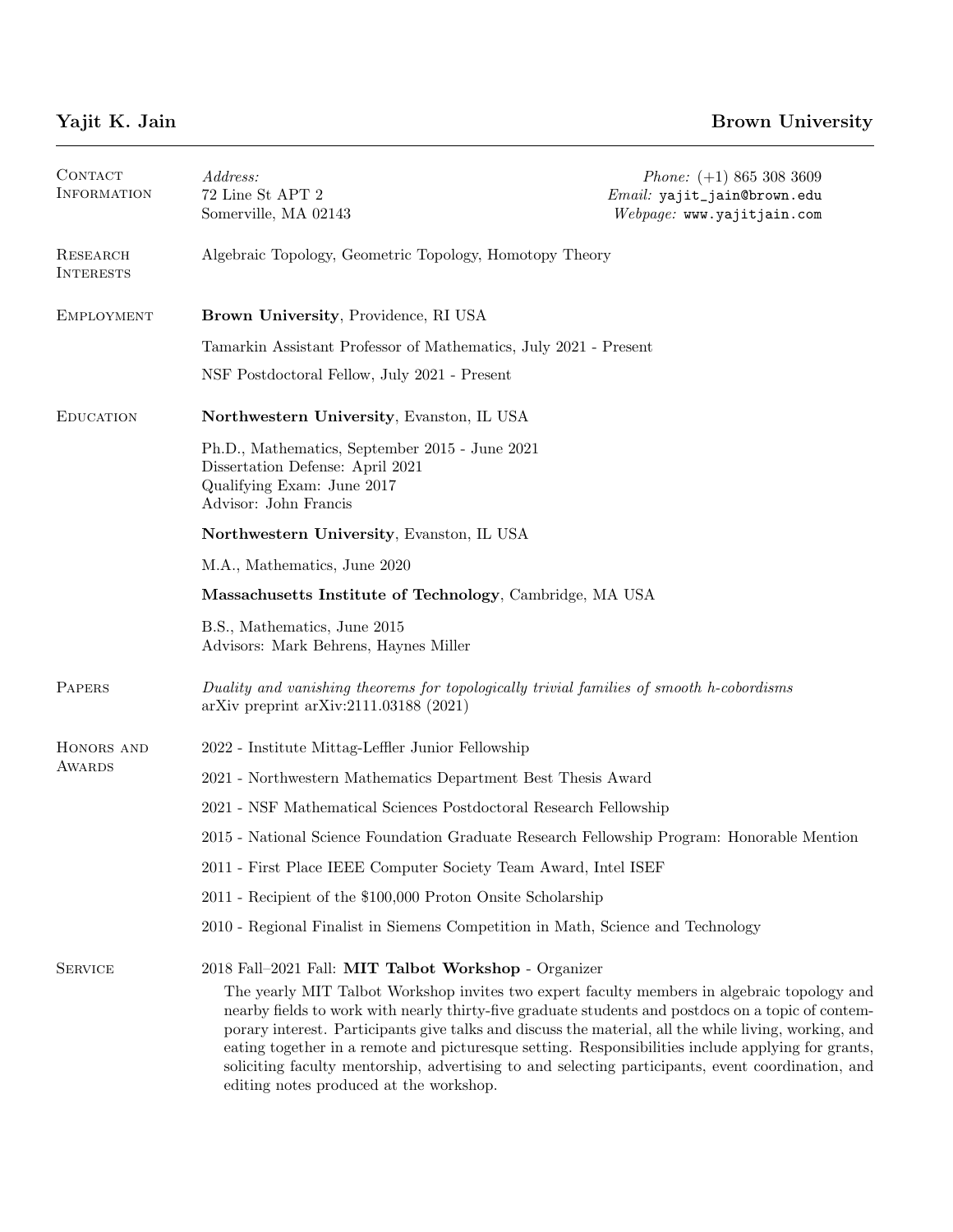| CONTACT<br><b>INFORMATION</b> | Address:<br>$72$ Line St APT $2$<br>Somerville, MA 02143                                                                                                                                                                                                                                                                                                                                                                                                                                                                                                                                                                  | <i>Phone:</i> $(+1)$ 865 308 3609<br>Email: yajit_jain@brown.edu<br>Webpage: www.yajitjain.com |
|-------------------------------|---------------------------------------------------------------------------------------------------------------------------------------------------------------------------------------------------------------------------------------------------------------------------------------------------------------------------------------------------------------------------------------------------------------------------------------------------------------------------------------------------------------------------------------------------------------------------------------------------------------------------|------------------------------------------------------------------------------------------------|
| RESEARCH<br><b>INTERESTS</b>  | Algebraic Topology, Geometric Topology, Homotopy Theory                                                                                                                                                                                                                                                                                                                                                                                                                                                                                                                                                                   |                                                                                                |
| <b>EMPLOYMENT</b>             | Brown University, Providence, RI USA                                                                                                                                                                                                                                                                                                                                                                                                                                                                                                                                                                                      |                                                                                                |
|                               | Tamarkin Assistant Professor of Mathematics, July 2021 - Present                                                                                                                                                                                                                                                                                                                                                                                                                                                                                                                                                          |                                                                                                |
|                               | NSF Postdoctoral Fellow, July 2021 - Present                                                                                                                                                                                                                                                                                                                                                                                                                                                                                                                                                                              |                                                                                                |
| <b>EDUCATION</b>              | Northwestern University, Evanston, IL USA                                                                                                                                                                                                                                                                                                                                                                                                                                                                                                                                                                                 |                                                                                                |
|                               | Ph.D., Mathematics, September 2015 - June 2021<br>Dissertation Defense: April 2021<br>Qualifying Exam: June 2017<br>Advisor: John Francis                                                                                                                                                                                                                                                                                                                                                                                                                                                                                 |                                                                                                |
|                               | Northwestern University, Evanston, IL USA                                                                                                                                                                                                                                                                                                                                                                                                                                                                                                                                                                                 |                                                                                                |
|                               | M.A., Mathematics, June 2020                                                                                                                                                                                                                                                                                                                                                                                                                                                                                                                                                                                              |                                                                                                |
|                               | Massachusetts Institute of Technology, Cambridge, MA USA                                                                                                                                                                                                                                                                                                                                                                                                                                                                                                                                                                  |                                                                                                |
|                               | B.S., Mathematics, June 2015<br>Advisors: Mark Behrens, Haynes Miller                                                                                                                                                                                                                                                                                                                                                                                                                                                                                                                                                     |                                                                                                |
| PAPERS                        | Duality and vanishing theorems for topologically trivial families of smooth h-cobordisms<br>$arXiv$ preprint $arXiv:2111.03188$ (2021)                                                                                                                                                                                                                                                                                                                                                                                                                                                                                    |                                                                                                |
| HONORS AND<br>AWARDS          | 2022 - Institute Mittag-Leffler Junior Fellowship                                                                                                                                                                                                                                                                                                                                                                                                                                                                                                                                                                         |                                                                                                |
|                               | 2021 - Northwestern Mathematics Department Best Thesis Award                                                                                                                                                                                                                                                                                                                                                                                                                                                                                                                                                              |                                                                                                |
|                               | 2021 - NSF Mathematical Sciences Postdoctoral Research Fellowship                                                                                                                                                                                                                                                                                                                                                                                                                                                                                                                                                         |                                                                                                |
|                               | 2015 - National Science Foundation Graduate Research Fellowship Program: Honorable Mention                                                                                                                                                                                                                                                                                                                                                                                                                                                                                                                                |                                                                                                |
|                               | 2011 - First Place IEEE Computer Society Team Award, Intel ISEF                                                                                                                                                                                                                                                                                                                                                                                                                                                                                                                                                           |                                                                                                |
|                               | 2011 - Recipient of the \$100,000 Proton Onsite Scholarship                                                                                                                                                                                                                                                                                                                                                                                                                                                                                                                                                               |                                                                                                |
|                               | 2010 - Regional Finalist in Siemens Competition in Math, Science and Technology                                                                                                                                                                                                                                                                                                                                                                                                                                                                                                                                           |                                                                                                |
| <b>SERVICE</b>                | 2018 Fall-2021 Fall: MIT Talbot Workshop - Organizer<br>The yearly MIT Talbot Workshop invites two expert faculty members in algebraic topology and<br>nearby fields to work with nearly thirty-five graduate students and postdocs on a topic of contem-<br>porary interest. Participants give talks and discuss the material, all the while living, working, and<br>eating together in a remote and pictures que setting. Responsibilities include applying for grants,<br>soliciting faculty mentorship, advertising to and selecting participants, event coordination, and<br>editing notes produced at the workshop. |                                                                                                |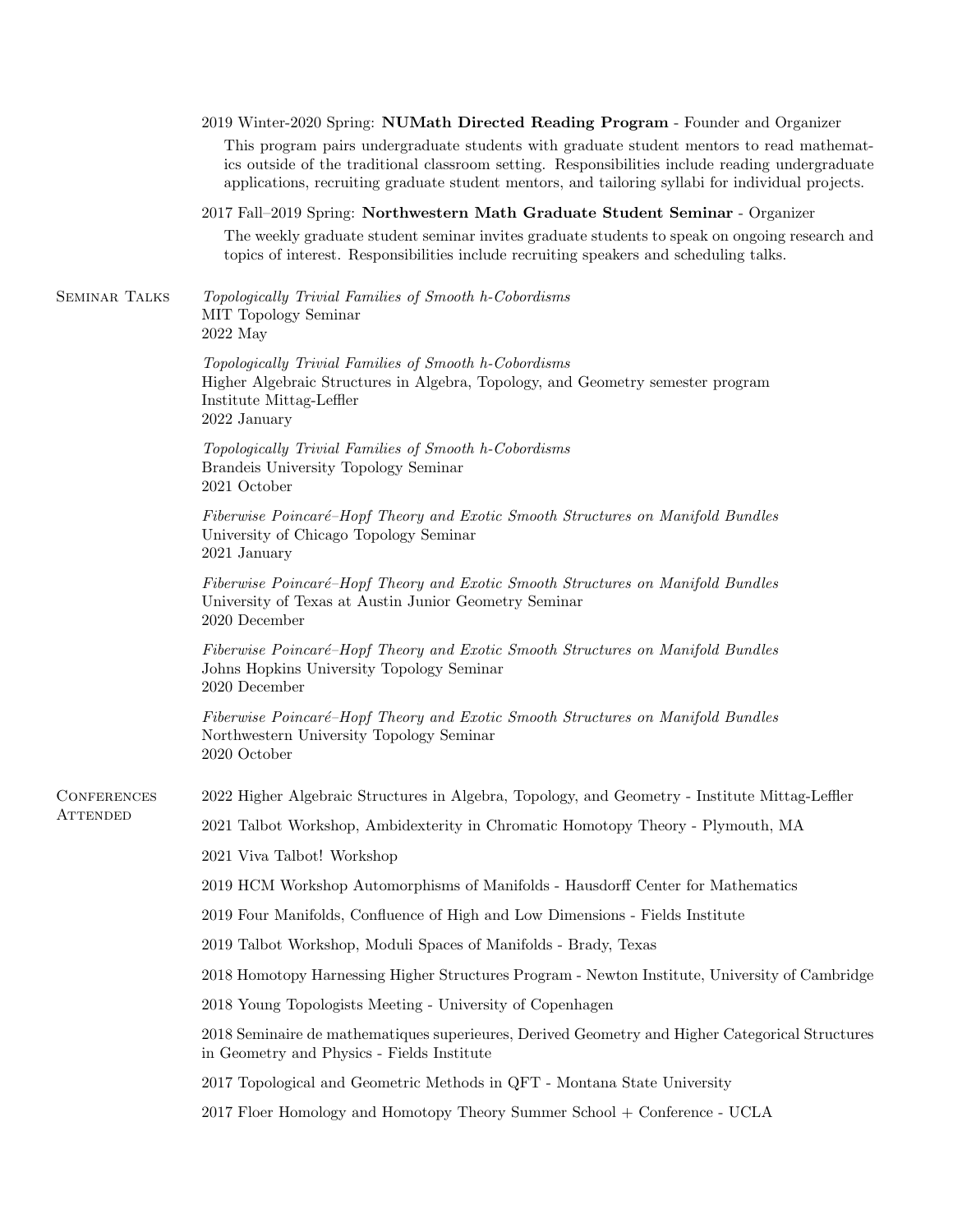|                      | 2019 Winter-2020 Spring: NUMath Directed Reading Program - Founder and Organizer                                                                                                                                                                                                                   |  |  |
|----------------------|----------------------------------------------------------------------------------------------------------------------------------------------------------------------------------------------------------------------------------------------------------------------------------------------------|--|--|
|                      | This program pairs undergraduate students with graduate student mentors to read mathemat-<br>ics outside of the traditional classroom setting. Responsibilities include reading undergraduate<br>applications, recruiting graduate student mentors, and tailoring syllabi for individual projects. |  |  |
|                      | 2017 Fall-2019 Spring: Northwestern Math Graduate Student Seminar - Organizer                                                                                                                                                                                                                      |  |  |
|                      | The weekly graduate student seminar invites graduate students to speak on ongoing research and<br>topics of interest. Responsibilities include recruiting speakers and scheduling talks.                                                                                                           |  |  |
| <b>SEMINAR TALKS</b> | Topologically Trivial Families of Smooth h-Cobordisms<br>MIT Topology Seminar<br>2022 May                                                                                                                                                                                                          |  |  |
|                      | Topologically Trivial Families of Smooth h-Cobordisms<br>Higher Algebraic Structures in Algebra, Topology, and Geometry semester program<br>Institute Mittag-Leffler<br>2022 January                                                                                                               |  |  |
|                      | Topologically Trivial Families of Smooth h-Cobordisms<br>Brandeis University Topology Seminar<br>2021 October                                                                                                                                                                                      |  |  |
|                      | Fiberwise Poincaré-Hopf Theory and Exotic Smooth Structures on Manifold Bundles<br>University of Chicago Topology Seminar<br>2021 January                                                                                                                                                          |  |  |
|                      | Fiberwise Poincaré-Hopf Theory and Exotic Smooth Structures on Manifold Bundles<br>University of Texas at Austin Junior Geometry Seminar<br>2020 December                                                                                                                                          |  |  |
|                      | Fiberwise Poincaré-Hopf Theory and Exotic Smooth Structures on Manifold Bundles<br>Johns Hopkins University Topology Seminar<br>2020 December                                                                                                                                                      |  |  |
|                      | Fiberwise Poincaré-Hopf Theory and Exotic Smooth Structures on Manifold Bundles<br>Northwestern University Topology Seminar<br>2020 October                                                                                                                                                        |  |  |
| CONFERENCES          | 2022 Higher Algebraic Structures in Algebra, Topology, and Geometry - Institute Mittag-Leffler                                                                                                                                                                                                     |  |  |
| ATTENDED             | 2021 Talbot Workshop, Ambidexterity in Chromatic Homotopy Theory - Plymouth, MA                                                                                                                                                                                                                    |  |  |
|                      | 2021 Viva Talbot! Workshop                                                                                                                                                                                                                                                                         |  |  |
|                      | 2019 HCM Workshop Automorphisms of Manifolds - Hausdorff Center for Mathematics                                                                                                                                                                                                                    |  |  |
|                      | 2019 Four Manifolds, Confluence of High and Low Dimensions - Fields Institute                                                                                                                                                                                                                      |  |  |
|                      | 2019 Talbot Workshop, Moduli Spaces of Manifolds - Brady, Texas                                                                                                                                                                                                                                    |  |  |
|                      | 2018 Homotopy Harnessing Higher Structures Program - Newton Institute, University of Cambridge                                                                                                                                                                                                     |  |  |
|                      | 2018 Young Topologists Meeting - University of Copenhagen                                                                                                                                                                                                                                          |  |  |
|                      | 2018 Seminaire de mathematiques superieures, Derived Geometry and Higher Categorical Structures<br>in Geometry and Physics - Fields Institute                                                                                                                                                      |  |  |
|                      | 2017 Topological and Geometric Methods in QFT - Montana State University                                                                                                                                                                                                                           |  |  |
|                      | 2017 Floer Homology and Homotopy Theory Summer School + Conference - UCLA                                                                                                                                                                                                                          |  |  |